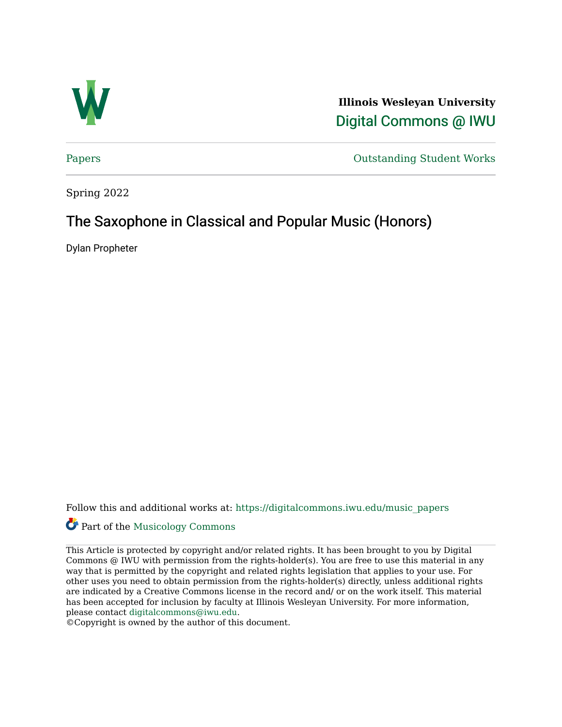

**Illinois Wesleyan University**  [Digital Commons @ IWU](https://digitalcommons.iwu.edu/) 

[Papers](https://digitalcommons.iwu.edu/music_papers) **Outstanding Student Works** 

Spring 2022

# The Saxophone in Classical and Popular Music (Honors)

Dylan Propheter

Follow this and additional works at: [https://digitalcommons.iwu.edu/music\\_papers](https://digitalcommons.iwu.edu/music_papers?utm_source=digitalcommons.iwu.edu%2Fmusic_papers%2F16&utm_medium=PDF&utm_campaign=PDFCoverPages) 

# Part of the [Musicology Commons](http://network.bepress.com/hgg/discipline/521?utm_source=digitalcommons.iwu.edu%2Fmusic_papers%2F16&utm_medium=PDF&utm_campaign=PDFCoverPages)

This Article is protected by copyright and/or related rights. It has been brought to you by Digital Commons @ IWU with permission from the rights-holder(s). You are free to use this material in any way that is permitted by the copyright and related rights legislation that applies to your use. For other uses you need to obtain permission from the rights-holder(s) directly, unless additional rights are indicated by a Creative Commons license in the record and/ or on the work itself. This material has been accepted for inclusion by faculty at Illinois Wesleyan University. For more information, please contact [digitalcommons@iwu.edu.](mailto:digitalcommons@iwu.edu)

©Copyright is owned by the author of this document.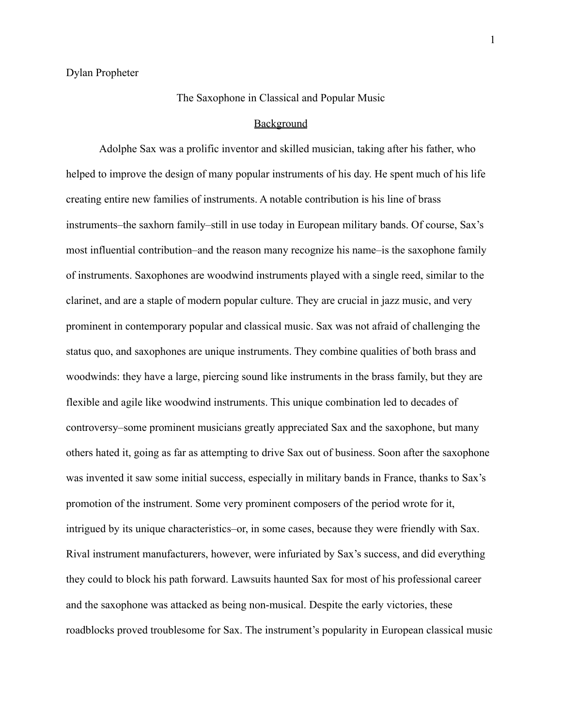# The Saxophone in Classical and Popular Music

#### **Background**

Adolphe Sax was a prolific inventor and skilled musician, taking after his father, who helped to improve the design of many popular instruments of his day. He spent much of his life creating entire new families of instruments. A notable contribution is his line of brass instruments–the saxhorn family–still in use today in European military bands. Of course, Sax's most influential contribution–and the reason many recognize his name–is the saxophone family of instruments. Saxophones are woodwind instruments played with a single reed, similar to the clarinet, and are a staple of modern popular culture. They are crucial in jazz music, and very prominent in contemporary popular and classical music. Sax was not afraid of challenging the status quo, and saxophones are unique instruments. They combine qualities of both brass and woodwinds: they have a large, piercing sound like instruments in the brass family, but they are flexible and agile like woodwind instruments. This unique combination led to decades of controversy–some prominent musicians greatly appreciated Sax and the saxophone, but many others hated it, going as far as attempting to drive Sax out of business. Soon after the saxophone was invented it saw some initial success, especially in military bands in France, thanks to Sax's promotion of the instrument. Some very prominent composers of the period wrote for it, intrigued by its unique characteristics–or, in some cases, because they were friendly with Sax. Rival instrument manufacturers, however, were infuriated by Sax's success, and did everything they could to block his path forward. Lawsuits haunted Sax for most of his professional career and the saxophone was attacked as being non-musical. Despite the early victories, these roadblocks proved troublesome for Sax. The instrument's popularity in European classical music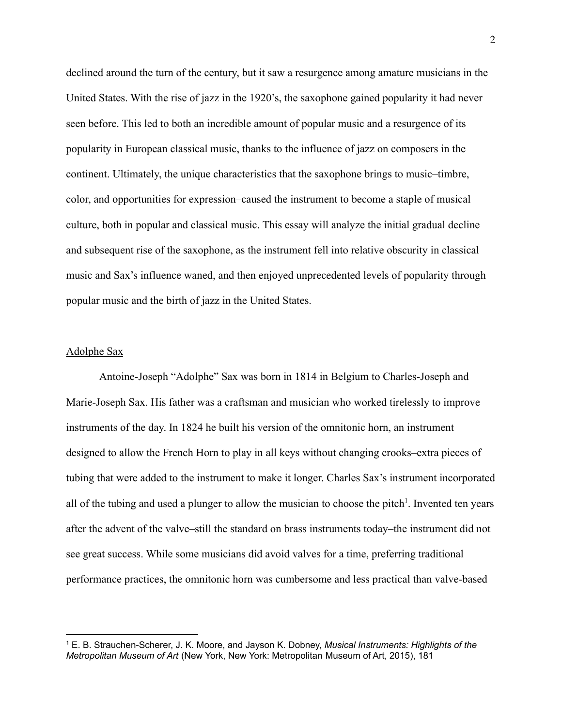declined around the turn of the century, but it saw a resurgence among amature musicians in the United States. With the rise of jazz in the 1920's, the saxophone gained popularity it had never seen before. This led to both an incredible amount of popular music and a resurgence of its popularity in European classical music, thanks to the influence of jazz on composers in the continent. Ultimately, the unique characteristics that the saxophone brings to music–timbre, color, and opportunities for expression–caused the instrument to become a staple of musical culture, both in popular and classical music. This essay will analyze the initial gradual decline and subsequent rise of the saxophone, as the instrument fell into relative obscurity in classical music and Sax's influence waned, and then enjoyed unprecedented levels of popularity through popular music and the birth of jazz in the United States.

# Adolphe Sax

Antoine-Joseph "Adolphe" Sax was born in 1814 in Belgium to Charles-Joseph and Marie-Joseph Sax. His father was a craftsman and musician who worked tirelessly to improve instruments of the day. In 1824 he built his version of the omnitonic horn, an instrument designed to allow the French Horn to play in all keys without changing crooks–extra pieces of tubing that were added to the instrument to make it longer. Charles Sax's instrument incorporated all of the tubing and used a plunger to allow the musician to choose the pitch<sup>1</sup>. Invented ten years after the advent of the valve–still the standard on brass instruments today–the instrument did not see great success. While some musicians did avoid valves for a time, preferring traditional performance practices, the omnitonic horn was cumbersome and less practical than valve-based

<sup>1</sup> E. B. Strauchen-Scherer, J. K. Moore, and Jayson K. Dobney, *Musical Instruments: Highlights of the Metropolitan Museum of Art* (New York, New York: Metropolitan Museum of Art, 2015), 181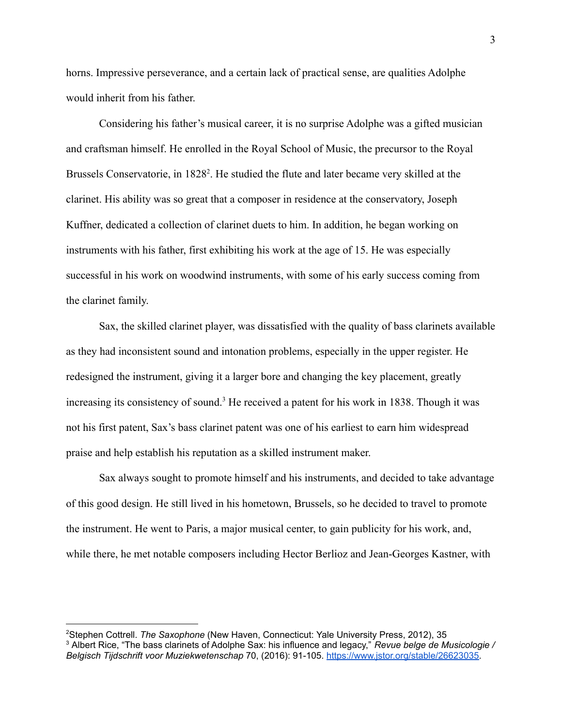horns. Impressive perseverance, and a certain lack of practical sense, are qualities Adolphe would inherit from his father.

Considering his father's musical career, it is no surprise Adolphe was a gifted musician and craftsman himself. He enrolled in the Royal School of Music, the precursor to the Royal Brussels Conservatorie, in 1828<sup>2</sup>. He studied the flute and later became very skilled at the clarinet. His ability was so great that a composer in residence at the conservatory, Joseph Kuffner, dedicated a collection of clarinet duets to him. In addition, he began working on instruments with his father, first exhibiting his work at the age of 15. He was especially successful in his work on woodwind instruments, with some of his early success coming from the clarinet family.

Sax, the skilled clarinet player, was dissatisfied with the quality of bass clarinets available as they had inconsistent sound and intonation problems, especially in the upper register. He redesigned the instrument, giving it a larger bore and changing the key placement, greatly increasing its consistency of sound.<sup>3</sup> He received a patent for his work in 1838. Though it was not his first patent, Sax's bass clarinet patent was one of his earliest to earn him widespread praise and help establish his reputation as a skilled instrument maker.

Sax always sought to promote himself and his instruments, and decided to take advantage of this good design. He still lived in his hometown, Brussels, so he decided to travel to promote the instrument. He went to Paris, a major musical center, to gain publicity for his work, and, while there, he met notable composers including Hector Berlioz and Jean-Georges Kastner, with

<sup>2</sup>Stephen Cottrell. *The Saxophone* (New Haven, Connecticut: Yale University Press, 2012), 35

<sup>3</sup> Albert Rice, "The bass clarinets of Adolphe Sax: his influence and legacy," *Revue belge de Musicologie / Belgisch Tijdschrift voor Muziekwetenschap* 70, (2016): 91-105. [https://www.jstor.org/stable/26623035.](https://www.jstor.org/stable/26623035)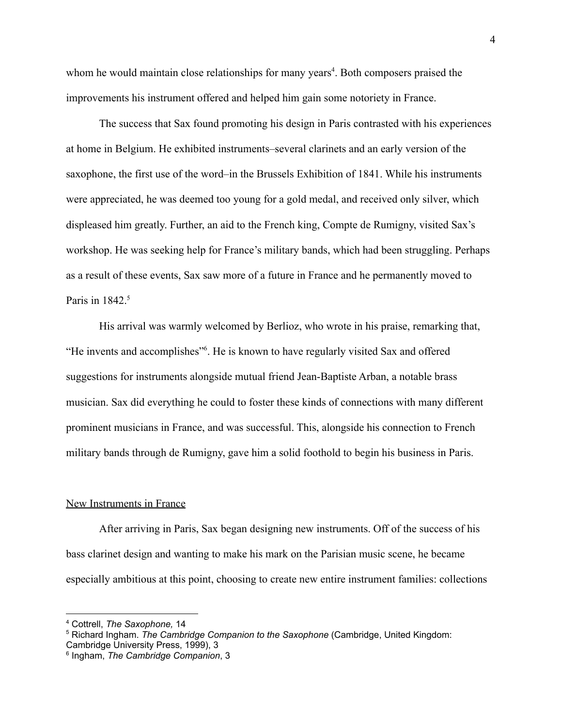whom he would maintain close relationships for many years<sup>4</sup>. Both composers praised the improvements his instrument offered and helped him gain some notoriety in France.

The success that Sax found promoting his design in Paris contrasted with his experiences at home in Belgium. He exhibited instruments–several clarinets and an early version of the saxophone, the first use of the word–in the Brussels Exhibition of 1841. While his instruments were appreciated, he was deemed too young for a gold medal, and received only silver, which displeased him greatly. Further, an aid to the French king, Compte de Rumigny, visited Sax's workshop. He was seeking help for France's military bands, which had been struggling. Perhaps as a result of these events, Sax saw more of a future in France and he permanently moved to Paris in  $1842<sup>5</sup>$ 

His arrival was warmly welcomed by Berlioz, who wrote in his praise, remarking that, "He invents and accomplishes"<sup>6</sup>. He is known to have regularly visited Sax and offered suggestions for instruments alongside mutual friend Jean-Baptiste Arban, a notable brass musician. Sax did everything he could to foster these kinds of connections with many different prominent musicians in France, and was successful. This, alongside his connection to French military bands through de Rumigny, gave him a solid foothold to begin his business in Paris.

# New Instruments in France

After arriving in Paris, Sax began designing new instruments. Off of the success of his bass clarinet design and wanting to make his mark on the Parisian music scene, he became especially ambitious at this point, choosing to create new entire instrument families: collections

<sup>4</sup> Cottrell, *The Saxophone,* 14

<sup>5</sup> Richard Ingham. *The Cambridge Companion to the Saxophone* (Cambridge, United Kingdom: Cambridge University Press, 1999), 3

<sup>6</sup> Ingham, *The Cambridge Companion*, 3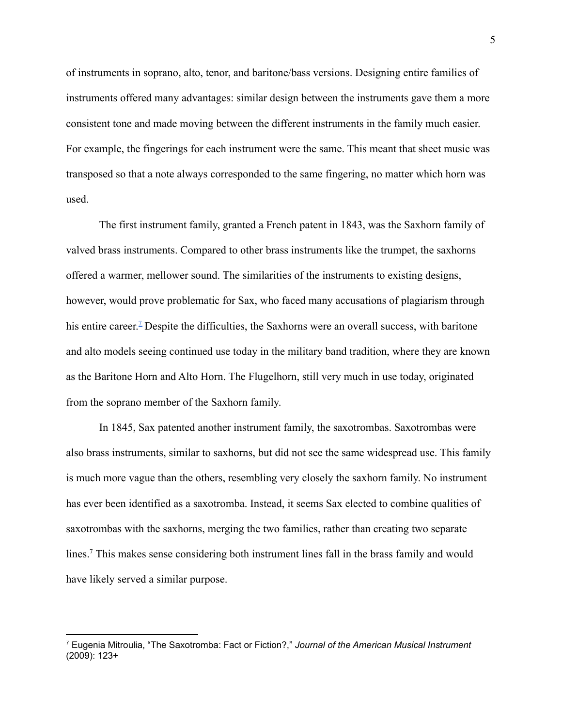of instruments in soprano, alto, tenor, and baritone/bass versions. Designing entire families of instruments offered many advantages: similar design between the instruments gave them a more consistent tone and made moving between the different instruments in the family much easier. For example, the fingerings for each instrument were the same. This meant that sheet music was transposed so that a note always corresponded to the same fingering, no matter which horn was used.

The first instrument family, granted a French patent in 1843, was the Saxhorn family of valved brass instruments. Compared to other brass instruments like the trumpet, the saxhorns offered a warmer, mellower sound. The similarities of the instruments to existing designs, however, would prove problematic for Sax, who faced many accusations of plagiarism through his entire career.<sup>[7](https://d1wqtxts1xzle7.cloudfront.net/49604353/HBSJ_2008_JL01_005_MM_9124-with-cover-page-v2.pdf?Expires=1643838653&Signature=fOuuDlMmSEzB-LdFluuuyd9vrF5Ovdj7jgJSyqAH6dl2yse7JhPTBkFXw~vN8y0GdDuebkAT0GA5ROKydgv6LgkK20PmTh79H20CtSbSuufaDNXh8yFP1ok78LZlFwa1duN4h3Vj0jWWJVi-9uY5K1zXjIfoR0fYsybVnXrnxOfKddGUNghfcW-rHarqqPYiCMDrcuKwaSJhYCmjOD7SvPK~EZtYOgfcTCKNVmlECnFpe1-7iCYaNftSydEtE-CfXXHn9DBNoB5skEHm6gQ9hcGqKS40aB~k7Si11sna942TKJgvOl2MCMvaWFdJDaEa9YNyXyUW2EasEmF2TcQ3Pg__&Key-Pair-Id=APKAJLOHF5GGSLRBV4ZA)</sup> Despite the difficulties, the Saxhorns were an overall success, with baritone and alto models seeing continued use today in the military band tradition, where they are known as the Baritone Horn and Alto Horn. The Flugelhorn, still very much in use today, originated from the soprano member of the Saxhorn family.

In 1845, Sax patented another instrument family, the saxotrombas. Saxotrombas were also brass instruments, similar to saxhorns, but did not see the same widespread use. This family is much more vague than the others, resembling very closely the saxhorn family. No instrument has ever been identified as a saxotromba. Instead, it seems Sax elected to combine qualities of saxotrombas with the saxhorns, merging the two families, rather than creating two separate lines.<sup>7</sup> This makes sense considering both instrument lines fall in the brass family and would have likely served a similar purpose.

<sup>7</sup> Eugenia Mitroulia, "The Saxotromba: Fact or Fiction?," *Journal of the American Musical Instrument* (2009): 123+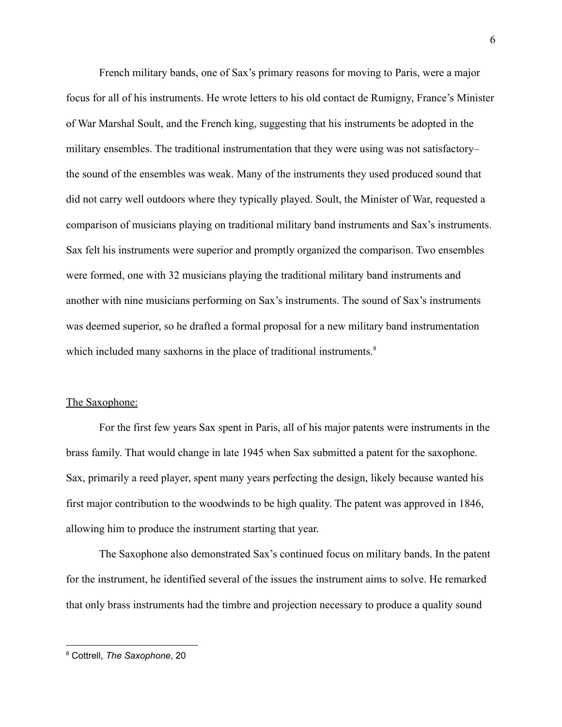French military bands, one of Sax's primary reasons for moving to Paris, were a major focus for all of his instruments. He wrote letters to his old contact de Rumigny, France's Minister of War Marshal Soult, and the French king, suggesting that his instruments be adopted in the military ensembles. The traditional instrumentation that they were using was not satisfactory– the sound of the ensembles was weak. Many of the instruments they used produced sound that did not carry well outdoors where they typically played. Soult, the Minister of War, requested a comparison of musicians playing on traditional military band instruments and Sax's instruments. Sax felt his instruments were superior and promptly organized the comparison. Two ensembles were formed, one with 32 musicians playing the traditional military band instruments and another with nine musicians performing on Sax's instruments. The sound of Sax's instruments was deemed superior, so he drafted a formal proposal for a new military band instrumentation which included many saxhorns in the place of traditional instruments.<sup>8</sup>

#### The Saxophone:

For the first few years Sax spent in Paris, all of his major patents were instruments in the brass family. That would change in late 1945 when Sax submitted a patent for the saxophone. Sax, primarily a reed player, spent many years perfecting the design, likely because wanted his first major contribution to the woodwinds to be high quality. The patent was approved in 1846, allowing him to produce the instrument starting that year.

The Saxophone also demonstrated Sax's continued focus on military bands. In the patent for the instrument, he identified several of the issues the instrument aims to solve. He remarked that only brass instruments had the timbre and projection necessary to produce a quality sound

<sup>8</sup> Cottrell, *The Saxophone*, 20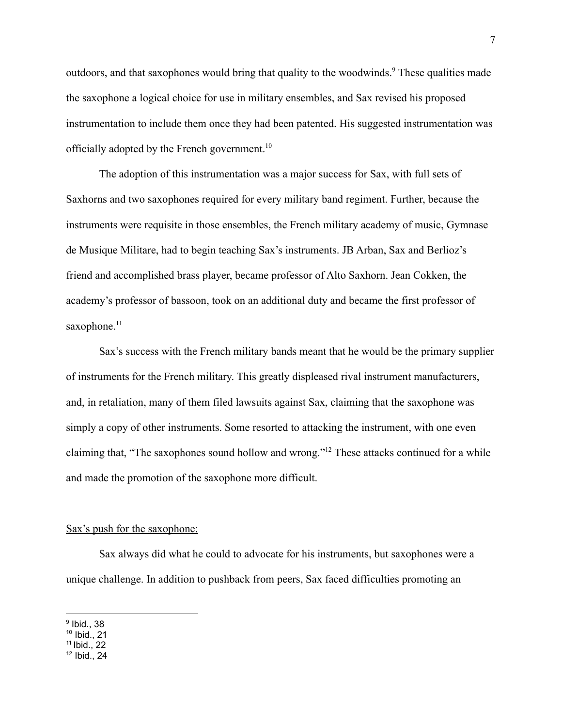outdoors, and that saxophones would bring that quality to the woodwinds.<sup>9</sup> These qualities made the saxophone a logical choice for use in military ensembles, and Sax revised his proposed instrumentation to include them once they had been patented. His suggested instrumentation was officially adopted by the French government.<sup>10</sup>

The adoption of this instrumentation was a major success for Sax, with full sets of Saxhorns and two saxophones required for every military band regiment. Further, because the instruments were requisite in those ensembles, the French military academy of music, Gymnase de Musique Militare, had to begin teaching Sax's instruments. JB Arban, Sax and Berlioz's friend and accomplished brass player, became professor of Alto Saxhorn. Jean Cokken, the academy's professor of bassoon, took on an additional duty and became the first professor of saxophone.<sup>11</sup>

Sax's success with the French military bands meant that he would be the primary supplier of instruments for the French military. This greatly displeased rival instrument manufacturers, and, in retaliation, many of them filed lawsuits against Sax, claiming that the saxophone was simply a copy of other instruments. Some resorted to attacking the instrument, with one even claiming that, "The saxophones sound hollow and wrong."<sup>12</sup> These attacks continued for a while and made the promotion of the saxophone more difficult.

#### Sax's push for the saxophone:

Sax always did what he could to advocate for his instruments, but saxophones were a unique challenge. In addition to pushback from peers, Sax faced difficulties promoting an

 $^9$  Ibid., 38

<sup>10</sup> Ibid., 21

<sup>11</sup> Ibid., 22

 $12$  Ibid., 24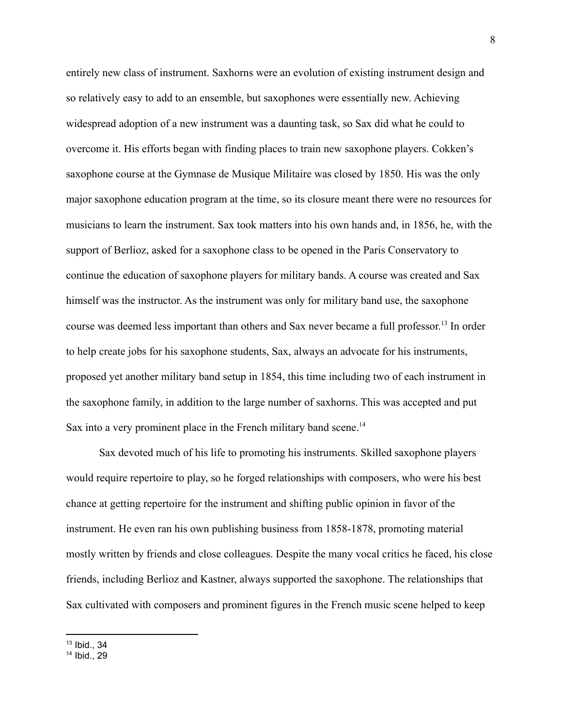entirely new class of instrument. Saxhorns were an evolution of existing instrument design and so relatively easy to add to an ensemble, but saxophones were essentially new. Achieving widespread adoption of a new instrument was a daunting task, so Sax did what he could to overcome it. His efforts began with finding places to train new saxophone players. Cokken's saxophone course at the Gymnase de Musique Militaire was closed by 1850. His was the only major saxophone education program at the time, so its closure meant there were no resources for musicians to learn the instrument. Sax took matters into his own hands and, in 1856, he, with the support of Berlioz, asked for a saxophone class to be opened in the Paris Conservatory to continue the education of saxophone players for military bands. A course was created and Sax himself was the instructor. As the instrument was only for military band use, the saxophone course was deemed less important than others and Sax never became a full professor. 13 In order to help create jobs for his saxophone students, Sax, always an advocate for his instruments, proposed yet another military band setup in 1854, this time including two of each instrument in the saxophone family, in addition to the large number of saxhorns. This was accepted and put Sax into a very prominent place in the French military band scene.<sup>14</sup>

Sax devoted much of his life to promoting his instruments. Skilled saxophone players would require repertoire to play, so he forged relationships with composers, who were his best chance at getting repertoire for the instrument and shifting public opinion in favor of the instrument. He even ran his own publishing business from 1858-1878, promoting material mostly written by friends and close colleagues. Despite the many vocal critics he faced, his close friends, including Berlioz and Kastner, always supported the saxophone. The relationships that Sax cultivated with composers and prominent figures in the French music scene helped to keep

<sup>13</sup> Ibid., 34

<sup>14</sup> Ibid., 29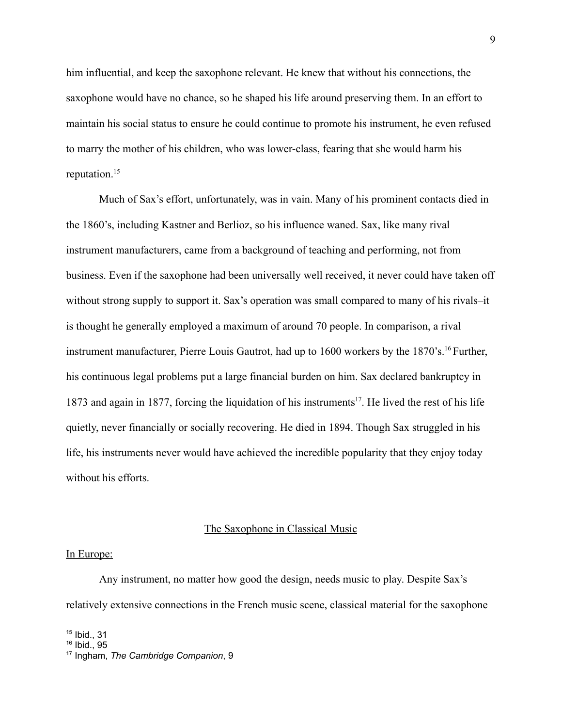him influential, and keep the saxophone relevant. He knew that without his connections, the saxophone would have no chance, so he shaped his life around preserving them. In an effort to maintain his social status to ensure he could continue to promote his instrument, he even refused to marry the mother of his children, who was lower-class, fearing that she would harm his reputation.<sup>15</sup>

Much of Sax's effort, unfortunately, was in vain. Many of his prominent contacts died in the 1860's, including Kastner and Berlioz, so his influence waned. Sax, like many rival instrument manufacturers, came from a background of teaching and performing, not from business. Even if the saxophone had been universally well received, it never could have taken off without strong supply to support it. Sax's operation was small compared to many of his rivals–it is thought he generally employed a maximum of around 70 people. In comparison, a rival instrument manufacturer, Pierre Louis Gautrot, had up to 1600 workers by the 1870's.<sup>16</sup> Further, his continuous legal problems put a large financial burden on him. Sax declared bankruptcy in 1873 and again in 1877, forcing the liquidation of his instruments<sup>17</sup>. He lived the rest of his life quietly, never financially or socially recovering. He died in 1894. Though Sax struggled in his life, his instruments never would have achieved the incredible popularity that they enjoy today without his efforts.

# The Saxophone in Classical Music

#### In Europe:

Any instrument, no matter how good the design, needs music to play. Despite Sax's relatively extensive connections in the French music scene, classical material for the saxophone

<sup>15</sup> Ibid., 31

<sup>16</sup> Ibid., 95

<sup>17</sup> Ingham, *The Cambridge Companion*, 9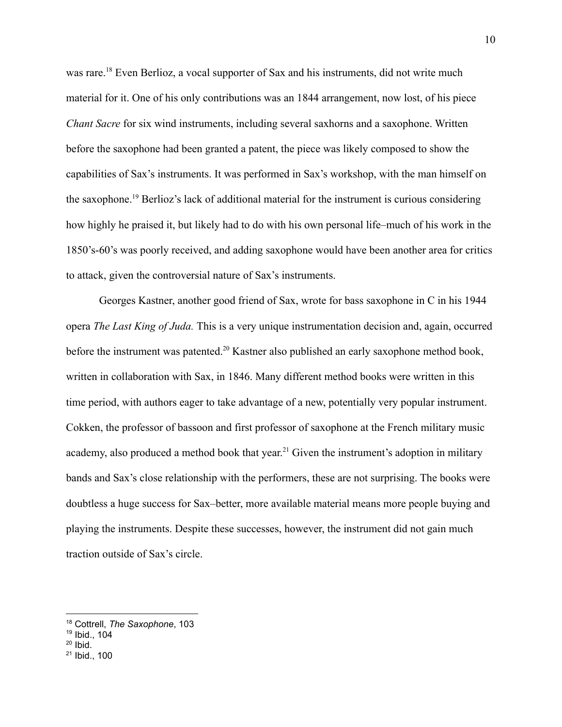was rare.<sup>18</sup> Even Berlioz, a vocal supporter of Sax and his instruments, did not write much material for it. One of his only contributions was an 1844 arrangement, now lost, of his piece *Chant Sacre* for six wind instruments, including several saxhorns and a saxophone. Written before the saxophone had been granted a patent, the piece was likely composed to show the capabilities of Sax's instruments. It was performed in Sax's workshop, with the man himself on the saxophone.<sup>19</sup> Berlioz's lack of additional material for the instrument is curious considering how highly he praised it, but likely had to do with his own personal life–much of his work in the 1850's-60's was poorly received, and adding saxophone would have been another area for critics to attack, given the controversial nature of Sax's instruments.

Georges Kastner, another good friend of Sax, wrote for bass saxophone in C in his 1944 opera *The Last King of Juda.* This is a very unique instrumentation decision and, again, occurred before the instrument was patented.<sup>20</sup> Kastner also published an early saxophone method book, written in collaboration with Sax, in 1846. Many different method books were written in this time period, with authors eager to take advantage of a new, potentially very popular instrument. Cokken, the professor of bassoon and first professor of saxophone at the French military music academy, also produced a method book that year.<sup>21</sup> Given the instrument's adoption in military bands and Sax's close relationship with the performers, these are not surprising. The books were doubtless a huge success for Sax–better, more available material means more people buying and playing the instruments. Despite these successes, however, the instrument did not gain much traction outside of Sax's circle.

<sup>18</sup> Cottrell, *The Saxophone*, 103

<sup>19</sup> Ibid., 104

 $20$  Ibid.

<sup>21</sup> Ibid., 100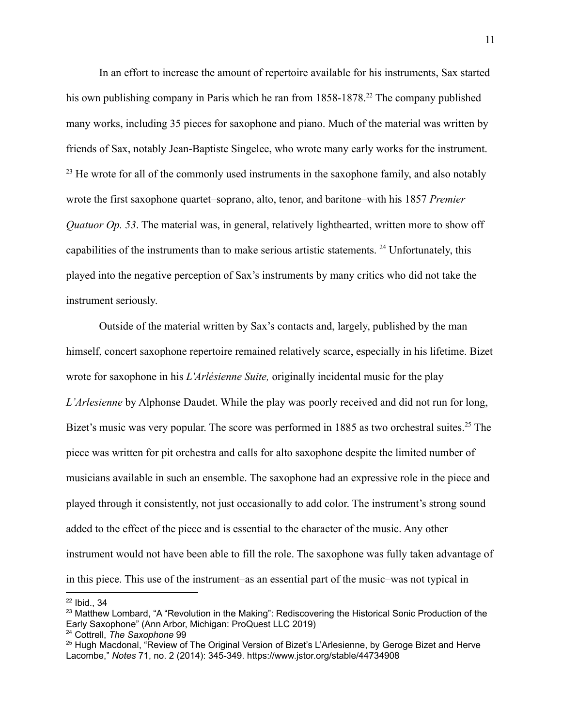In an effort to increase the amount of repertoire available for his instruments, Sax started his own publishing company in Paris which he ran from 1858-1878.<sup>22</sup> The company published many works, including 35 pieces for saxophone and piano. Much of the material was written by friends of Sax, notably Jean-Baptiste Singelee, who wrote many early works for the instrument.  $23$  He wrote for all of the commonly used instruments in the saxophone family, and also notably wrote the first saxophone quartet–soprano, alto, tenor, and baritone–with his 1857 *Premier Quatuor Op. 53*. The material was, in general, relatively lighthearted, written more to show off capabilities of the instruments than to make serious artistic statements. <sup>24</sup> Unfortunately, this played into the negative perception of Sax's instruments by many critics who did not take the instrument seriously.

Outside of the material written by Sax's contacts and, largely, published by the man himself, concert saxophone repertoire remained relatively scarce, especially in his lifetime. Bizet wrote for saxophone in his *L'Arlésienne Suite,* originally incidental music for the play *L'Arlesienne* by Alphonse Daudet. While the play was poorly received and did not run for long, Bizet's music was very popular. The score was performed in 1885 as two orchestral suites.<sup>25</sup> The piece was written for pit orchestra and calls for alto saxophone despite the limited number of musicians available in such an ensemble. The saxophone had an expressive role in the piece and played through it consistently, not just occasionally to add color. The instrument's strong sound added to the effect of the piece and is essential to the character of the music. Any other instrument would not have been able to fill the role. The saxophone was fully taken advantage of in this piece. This use of the instrument–as an essential part of the music–was not typical in

<sup>22</sup> Ibid., 34

<sup>&</sup>lt;sup>23</sup> Matthew Lombard, "A "Revolution in the Making": Rediscovering the Historical Sonic Production of the Early Saxophone" (Ann Arbor, Michigan: ProQuest LLC 2019)

<sup>24</sup> Cottrell, *The Saxophone* 99

<sup>&</sup>lt;sup>25</sup> Hugh Macdonal, "Review of The Original Version of Bizet's L'Arlesienne, by Geroge Bizet and Herve Lacombe," *Notes* 71, no. 2 (2014): 345-349. https://www.jstor.org/stable/44734908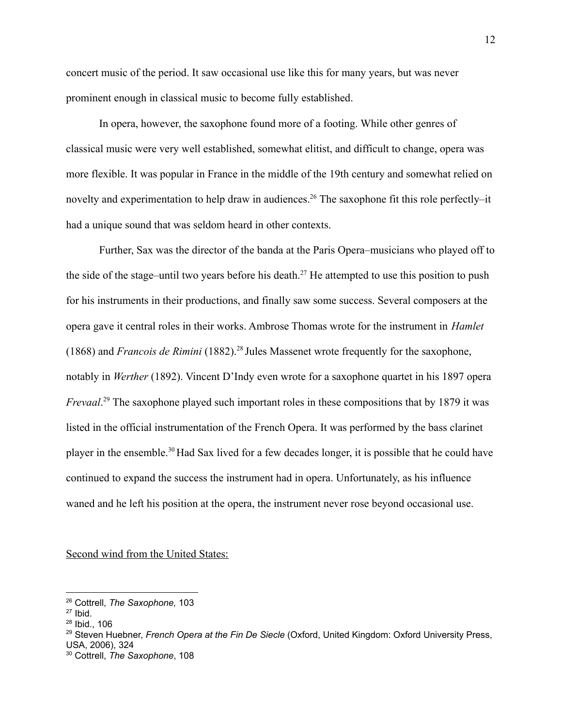concert music of the period. It saw occasional use like this for many years, but was never prominent enough in classical music to become fully established.

In opera, however, the saxophone found more of a footing. While other genres of classical music were very well established, somewhat elitist, and difficult to change, opera was more flexible. It was popular in France in the middle of the 19th century and somewhat relied on novelty and experimentation to help draw in audiences.<sup>26</sup> The saxophone fit this role perfectly–it had a unique sound that was seldom heard in other contexts.

Further, Sax was the director of the banda at the Paris Opera–musicians who played off to the side of the stage–until two years before his death.<sup>27</sup> He attempted to use this position to push for his instruments in their productions, and finally saw some success. Several composers at the opera gave it central roles in their works. Ambrose Thomas wrote for the instrument in *Hamlet* (1868) and *Francois de Rimini* (1882).<sup>28</sup> Jules Massenet wrote frequently for the saxophone, notably in *Werther* (1892). Vincent D'Indy even wrote for a saxophone quartet in his 1897 opera *Frevaal*. <sup>29</sup> The saxophone played such important roles in these compositions that by 1879 it was listed in the official instrumentation of the French Opera. It was performed by the bass clarinet player in the ensemble.<sup>30</sup> Had Sax lived for a few decades longer, it is possible that he could have continued to expand the success the instrument had in opera. Unfortunately, as his influence waned and he left his position at the opera, the instrument never rose beyond occasional use.

Second wind from the United States:

<sup>26</sup> Cottrell, *The Saxophone,* 103

 $27$  Ibid.

<sup>28</sup> Ibid., 106

<sup>29</sup> Steven Huebner, *French Opera at the Fin De Siecle* (Oxford, United Kingdom: Oxford University Press, USA, 2006), 324

<sup>30</sup> Cottrell, *The Saxophone*, 108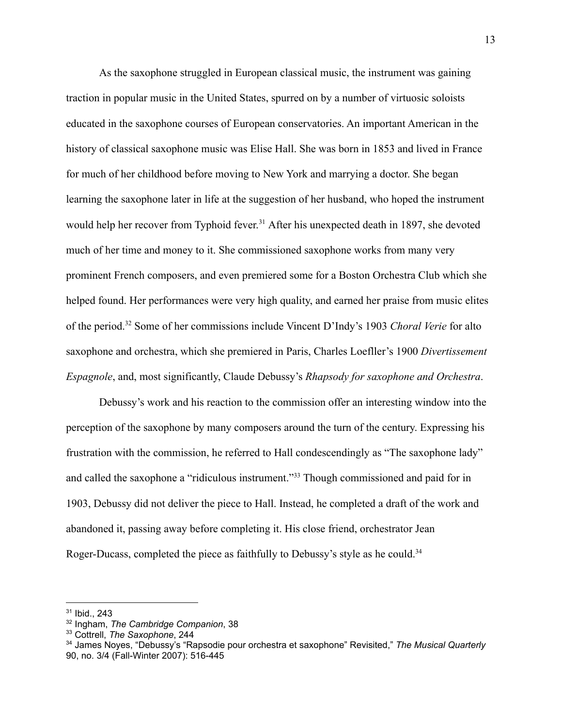As the saxophone struggled in European classical music, the instrument was gaining traction in popular music in the United States, spurred on by a number of virtuosic soloists educated in the saxophone courses of European conservatories. An important American in the history of classical saxophone music was Elise Hall. She was born in 1853 and lived in France for much of her childhood before moving to New York and marrying a doctor. She began learning the saxophone later in life at the suggestion of her husband, who hoped the instrument would help her recover from Typhoid fever.<sup>31</sup> After his unexpected death in 1897, she devoted much of her time and money to it. She commissioned saxophone works from many very prominent French composers, and even premiered some for a Boston Orchestra Club which she helped found. Her performances were very high quality, and earned her praise from music elites of the period.<sup>32</sup> Some of her commissions include Vincent D'Indy's 1903 *Choral Verie* for alto saxophone and orchestra, which she premiered in Paris, Charles Loefller's 1900 *Divertissement Espagnole*, and, most significantly, Claude Debussy's *Rhapsody for saxophone and Orchestra*.

Debussy's work and his reaction to the commission offer an interesting window into the perception of the saxophone by many composers around the turn of the century. Expressing his frustration with the commission, he referred to Hall condescendingly as "The saxophone lady" and called the saxophone a "ridiculous instrument."<sup>33</sup> Though commissioned and paid for in 1903, Debussy did not deliver the piece to Hall. Instead, he completed a draft of the work and abandoned it, passing away before completing it. His close friend, orchestrator Jean Roger-Ducass, completed the piece as faithfully to Debussy's style as he could.<sup>34</sup>

<sup>31</sup> Ibid., 243

<sup>32</sup> Ingham, *The Cambridge Companion*, 38

<sup>33</sup> Cottrell, *The Saxophone*, 244

<sup>34</sup> James Noyes, "Debussy's "Rapsodie pour orchestra et saxophone" Revisited," *The Musical Quarterly* 90, no. 3/4 (Fall-Winter 2007): 516-445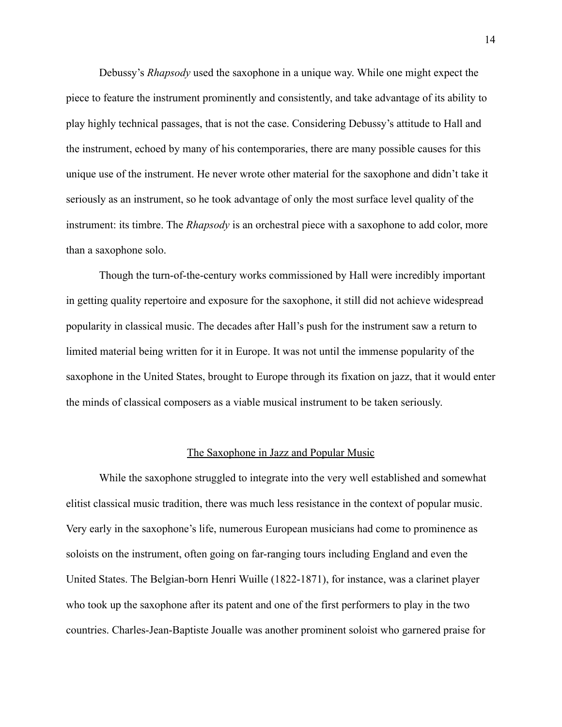Debussy's *Rhapsody* used the saxophone in a unique way. While one might expect the piece to feature the instrument prominently and consistently, and take advantage of its ability to play highly technical passages, that is not the case. Considering Debussy's attitude to Hall and the instrument, echoed by many of his contemporaries, there are many possible causes for this unique use of the instrument. He never wrote other material for the saxophone and didn't take it seriously as an instrument, so he took advantage of only the most surface level quality of the instrument: its timbre. The *Rhapsody* is an orchestral piece with a saxophone to add color, more than a saxophone solo.

Though the turn-of-the-century works commissioned by Hall were incredibly important in getting quality repertoire and exposure for the saxophone, it still did not achieve widespread popularity in classical music. The decades after Hall's push for the instrument saw a return to limited material being written for it in Europe. It was not until the immense popularity of the saxophone in the United States, brought to Europe through its fixation on jazz, that it would enter the minds of classical composers as a viable musical instrument to be taken seriously.

# The Saxophone in Jazz and Popular Music

While the saxophone struggled to integrate into the very well established and somewhat elitist classical music tradition, there was much less resistance in the context of popular music. Very early in the saxophone's life, numerous European musicians had come to prominence as soloists on the instrument, often going on far-ranging tours including England and even the United States. The Belgian-born Henri Wuille (1822-1871), for instance, was a clarinet player who took up the saxophone after its patent and one of the first performers to play in the two countries. Charles-Jean-Baptiste Joualle was another prominent soloist who garnered praise for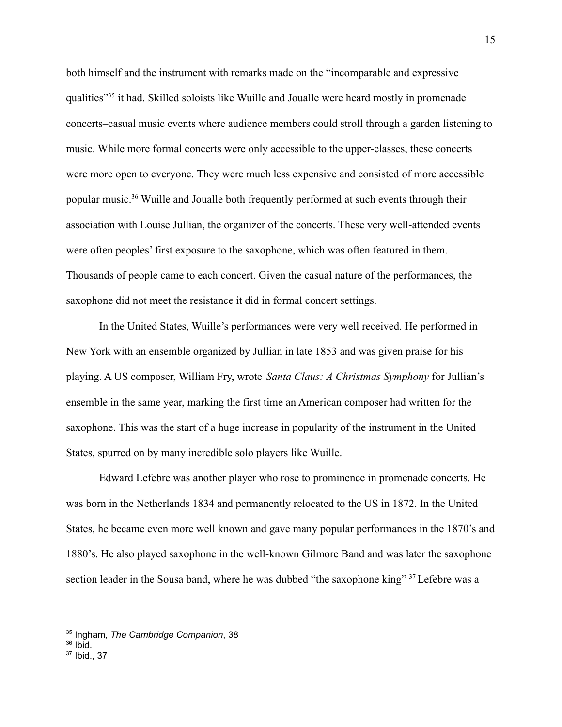both himself and the instrument with remarks made on the "incomparable and expressive qualities"<sup>35</sup> it had. Skilled soloists like Wuille and Joualle were heard mostly in promenade concerts–casual music events where audience members could stroll through a garden listening to music. While more formal concerts were only accessible to the upper-classes, these concerts were more open to everyone. They were much less expensive and consisted of more accessible popular music.<sup>36</sup> Wuille and Joualle both frequently performed at such events through their association with Louise Jullian, the organizer of the concerts. These very well-attended events were often peoples' first exposure to the saxophone, which was often featured in them. Thousands of people came to each concert. Given the casual nature of the performances, the saxophone did not meet the resistance it did in formal concert settings.

In the United States, Wuille's performances were very well received. He performed in New York with an ensemble organized by Jullian in late 1853 and was given praise for his playing. A US composer, William Fry, wrote *Santa Claus: A Christmas Symphony* for Jullian's ensemble in the same year, marking the first time an American composer had written for the saxophone. This was the start of a huge increase in popularity of the instrument in the United States, spurred on by many incredible solo players like Wuille.

Edward Lefebre was another player who rose to prominence in promenade concerts. He was born in the Netherlands 1834 and permanently relocated to the US in 1872. In the United States, he became even more well known and gave many popular performances in the 1870's and 1880's. He also played saxophone in the well-known Gilmore Band and was later the saxophone section leader in the Sousa band, where he was dubbed "the saxophone king" <sup>37</sup> Lefebre was a

<sup>35</sup> Ingham, *The Cambridge Companion*, 38

 $36$  Ibid.

<sup>37</sup> Ibid., 37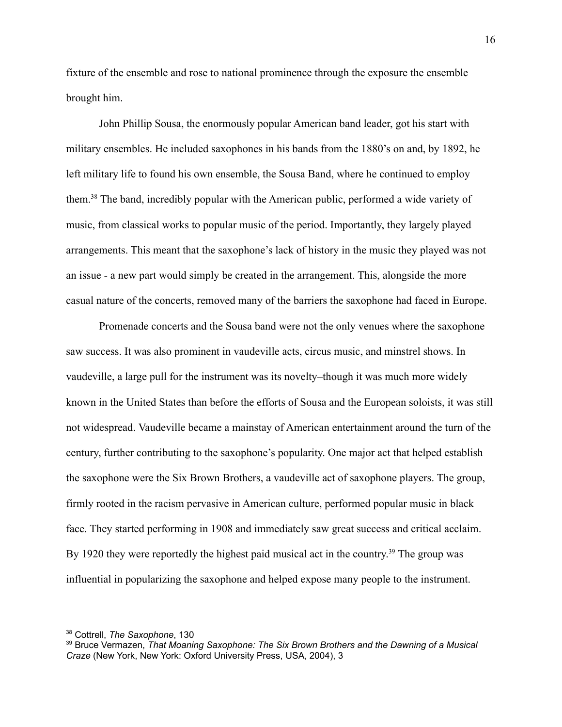fixture of the ensemble and rose to national prominence through the exposure the ensemble brought him.

John Phillip Sousa, the enormously popular American band leader, got his start with military ensembles. He included saxophones in his bands from the 1880's on and, by 1892, he left military life to found his own ensemble, the Sousa Band, where he continued to employ them.<sup>38</sup> The band, incredibly popular with the American public, performed a wide variety of music, from classical works to popular music of the period. Importantly, they largely played arrangements. This meant that the saxophone's lack of history in the music they played was not an issue - a new part would simply be created in the arrangement. This, alongside the more casual nature of the concerts, removed many of the barriers the saxophone had faced in Europe.

Promenade concerts and the Sousa band were not the only venues where the saxophone saw success. It was also prominent in vaudeville acts, circus music, and minstrel shows. In vaudeville, a large pull for the instrument was its novelty–though it was much more widely known in the United States than before the efforts of Sousa and the European soloists, it was still not widespread. Vaudeville became a mainstay of American entertainment around the turn of the century, further contributing to the saxophone's popularity. One major act that helped establish the saxophone were the Six Brown Brothers, a vaudeville act of saxophone players. The group, firmly rooted in the racism pervasive in American culture, performed popular music in black face. They started performing in 1908 and immediately saw great success and critical acclaim. By 1920 they were reportedly the highest paid musical act in the country.<sup>39</sup> The group was influential in popularizing the saxophone and helped expose many people to the instrument.

<sup>38</sup> Cottrell, *The Saxophone*, 130

<sup>39</sup> Bruce Vermazen, *That Moaning Saxophone: The Six Brown Brothers and the Dawning of a Musical Craze* (New York, New York: Oxford University Press, USA, 2004), 3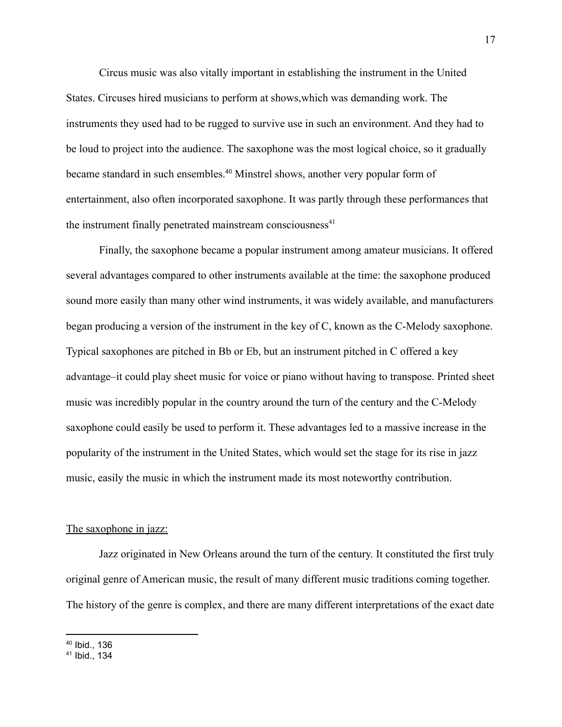Circus music was also vitally important in establishing the instrument in the United States. Circuses hired musicians to perform at shows,which was demanding work. The instruments they used had to be rugged to survive use in such an environment. And they had to be loud to project into the audience. The saxophone was the most logical choice, so it gradually became standard in such ensembles.<sup>40</sup> Minstrel shows, another very popular form of entertainment, also often incorporated saxophone. It was partly through these performances that the instrument finally penetrated mainstream consciousness $41$ 

Finally, the saxophone became a popular instrument among amateur musicians. It offered several advantages compared to other instruments available at the time: the saxophone produced sound more easily than many other wind instruments, it was widely available, and manufacturers began producing a version of the instrument in the key of C, known as the C-Melody saxophone. Typical saxophones are pitched in Bb or Eb, but an instrument pitched in C offered a key advantage–it could play sheet music for voice or piano without having to transpose. Printed sheet music was incredibly popular in the country around the turn of the century and the C-Melody saxophone could easily be used to perform it. These advantages led to a massive increase in the popularity of the instrument in the United States, which would set the stage for its rise in jazz music, easily the music in which the instrument made its most noteworthy contribution.

# The saxophone in jazz:

Jazz originated in New Orleans around the turn of the century. It constituted the first truly original genre of American music, the result of many different music traditions coming together. The history of the genre is complex, and there are many different interpretations of the exact date

<sup>40</sup> Ibid., 136

 $41$  Ibid., 134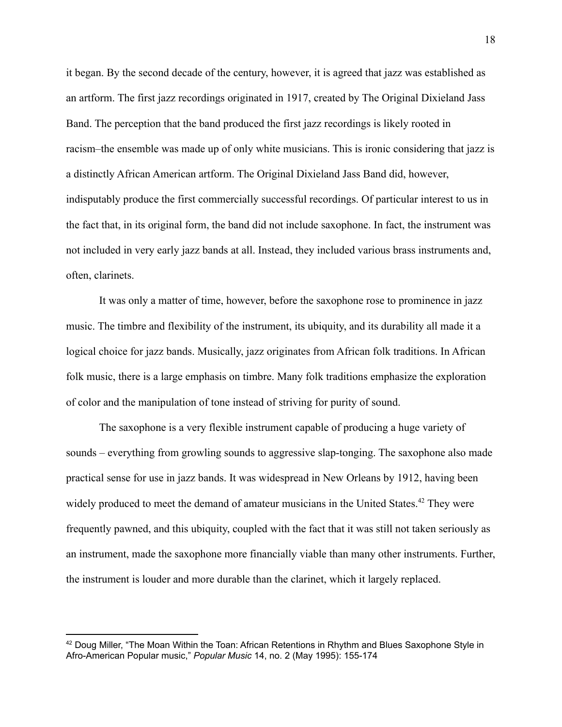it began. By the second decade of the century, however, it is agreed that jazz was established as an artform. The first jazz recordings originated in 1917, created by The Original Dixieland Jass Band. The perception that the band produced the first jazz recordings is likely rooted in racism–the ensemble was made up of only white musicians. This is ironic considering that jazz is a distinctly African American artform. The Original Dixieland Jass Band did, however, indisputably produce the first commercially successful recordings. Of particular interest to us in the fact that, in its original form, the band did not include saxophone. In fact, the instrument was not included in very early jazz bands at all. Instead, they included various brass instruments and, often, clarinets.

It was only a matter of time, however, before the saxophone rose to prominence in jazz music. The timbre and flexibility of the instrument, its ubiquity, and its durability all made it a logical choice for jazz bands. Musically, jazz originates from African folk traditions. In African folk music, there is a large emphasis on timbre. Many folk traditions emphasize the exploration of color and the manipulation of tone instead of striving for purity of sound.

The saxophone is a very flexible instrument capable of producing a huge variety of sounds – everything from growling sounds to aggressive slap-tonging. The saxophone also made practical sense for use in jazz bands. It was widespread in New Orleans by 1912, having been widely produced to meet the demand of amateur musicians in the United States.<sup>42</sup> They were frequently pawned, and this ubiquity, coupled with the fact that it was still not taken seriously as an instrument, made the saxophone more financially viable than many other instruments. Further, the instrument is louder and more durable than the clarinet, which it largely replaced.

<sup>&</sup>lt;sup>42</sup> Doug Miller, "The Moan Within the Toan: African Retentions in Rhythm and Blues Saxophone Style in Afro-American Popular music," *Popular Music* 14, no. 2 (May 1995): 155-174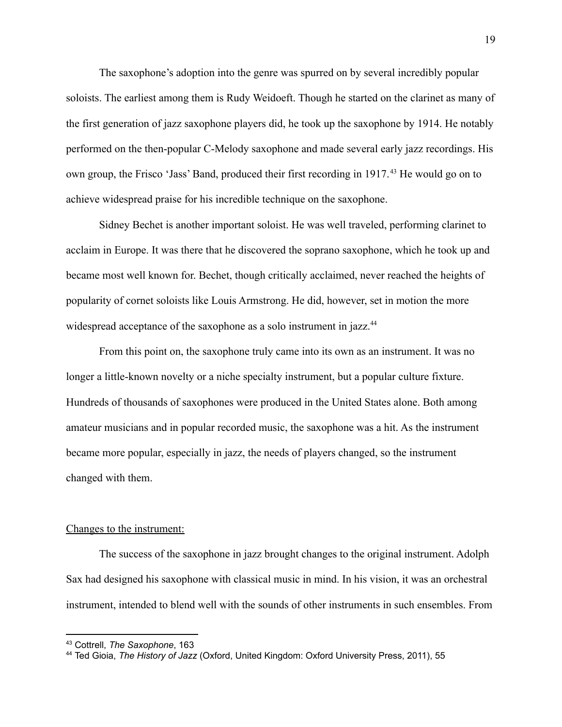The saxophone's adoption into the genre was spurred on by several incredibly popular soloists. The earliest among them is Rudy Weidoeft. Though he started on the clarinet as many of the first generation of jazz saxophone players did, he took up the saxophone by 1914. He notably performed on the then-popular C-Melody saxophone and made several early jazz recordings. His own group, the Frisco 'Jass' Band, produced their first recording in 1917. <sup>43</sup> He would go on to achieve widespread praise for his incredible technique on the saxophone.

Sidney Bechet is another important soloist. He was well traveled, performing clarinet to acclaim in Europe. It was there that he discovered the soprano saxophone, which he took up and became most well known for. Bechet, though critically acclaimed, never reached the heights of popularity of cornet soloists like Louis Armstrong. He did, however, set in motion the more widespread acceptance of the saxophone as a solo instrument in jazz.<sup>44</sup>

From this point on, the saxophone truly came into its own as an instrument. It was no longer a little-known novelty or a niche specialty instrument, but a popular culture fixture. Hundreds of thousands of saxophones were produced in the United States alone. Both among amateur musicians and in popular recorded music, the saxophone was a hit. As the instrument became more popular, especially in jazz, the needs of players changed, so the instrument changed with them.

# Changes to the instrument:

The success of the saxophone in jazz brought changes to the original instrument. Adolph Sax had designed his saxophone with classical music in mind. In his vision, it was an orchestral instrument, intended to blend well with the sounds of other instruments in such ensembles. From

<sup>43</sup> Cottrell, *The Saxophone*, 163

<sup>44</sup> Ted Gioia, *The History of Jazz* (Oxford, United Kingdom: Oxford University Press, 2011), 55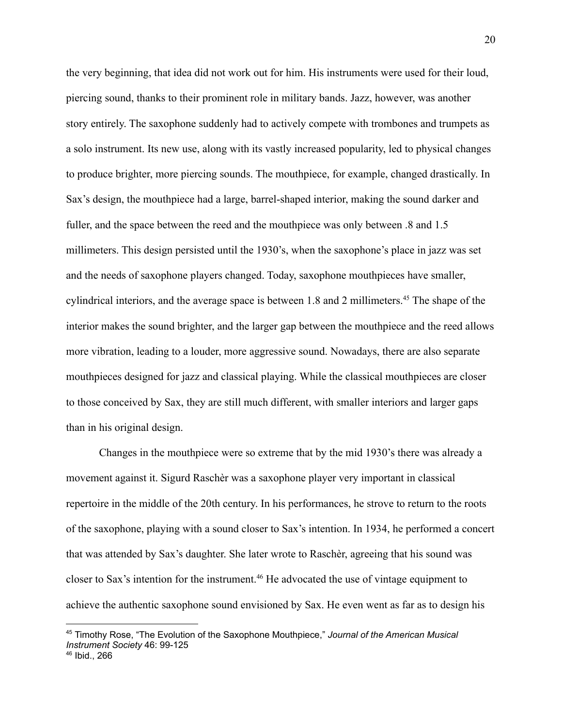the very beginning, that idea did not work out for him. His instruments were used for their loud, piercing sound, thanks to their prominent role in military bands. Jazz, however, was another story entirely. The saxophone suddenly had to actively compete with trombones and trumpets as a solo instrument. Its new use, along with its vastly increased popularity, led to physical changes to produce brighter, more piercing sounds. The mouthpiece, for example, changed drastically. In Sax's design, the mouthpiece had a large, barrel-shaped interior, making the sound darker and fuller, and the space between the reed and the mouthpiece was only between .8 and 1.5 millimeters. This design persisted until the 1930's, when the saxophone's place in jazz was set and the needs of saxophone players changed. Today, saxophone mouthpieces have smaller, cylindrical interiors, and the average space is between 1.8 and 2 millimeters.<sup>45</sup> The shape of the interior makes the sound brighter, and the larger gap between the mouthpiece and the reed allows more vibration, leading to a louder, more aggressive sound. Nowadays, there are also separate mouthpieces designed for jazz and classical playing. While the classical mouthpieces are closer to those conceived by Sax, they are still much different, with smaller interiors and larger gaps than in his original design.

Changes in the mouthpiece were so extreme that by the mid 1930's there was already a movement against it. Sigurd Raschèr was a saxophone player very important in classical repertoire in the middle of the 20th century. In his performances, he strove to return to the roots of the saxophone, playing with a sound closer to Sax's intention. In 1934, he performed a concert that was attended by Sax's daughter. She later wrote to Raschèr, agreeing that his sound was closer to Sax's intention for the instrument.<sup>46</sup> He advocated the use of vintage equipment to achieve the authentic saxophone sound envisioned by Sax. He even went as far as to design his

<sup>45</sup> Timothy Rose, "The Evolution of the Saxophone Mouthpiece," *Journal of the American Musical Instrument Society* 46: 99-125

<sup>46</sup> Ibid., 266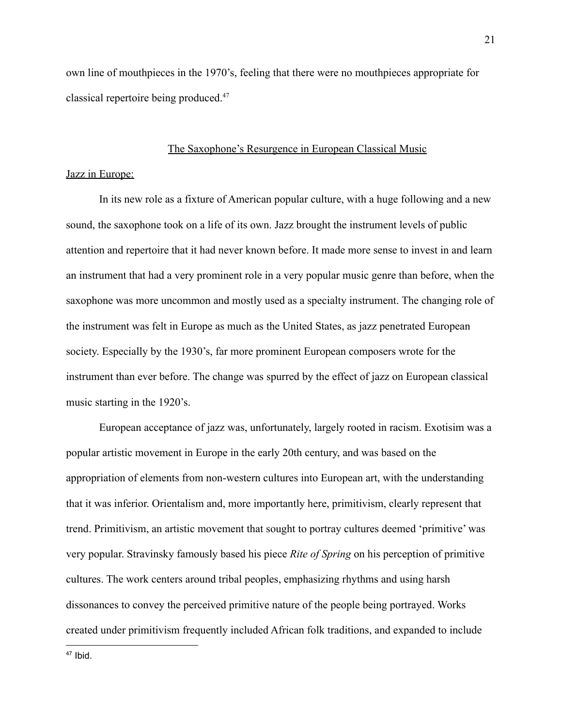own line of mouthpieces in the 1970's, feeling that there were no mouthpieces appropriate for classical repertoire being produced.<sup>47</sup>

# The Saxophone's Resurgence in European Classical Music

# Jazz in Europe:

In its new role as a fixture of American popular culture, with a huge following and a new sound, the saxophone took on a life of its own. Jazz brought the instrument levels of public attention and repertoire that it had never known before. It made more sense to invest in and learn an instrument that had a very prominent role in a very popular music genre than before, when the saxophone was more uncommon and mostly used as a specialty instrument. The changing role of the instrument was felt in Europe as much as the United States, as jazz penetrated European society. Especially by the 1930's, far more prominent European composers wrote for the instrument than ever before. The change was spurred by the effect of jazz on European classical music starting in the 1920's.

European acceptance of jazz was, unfortunately, largely rooted in racism. Exotisim was a popular artistic movement in Europe in the early 20th century, and was based on the appropriation of elements from non-western cultures into European art, with the understanding that it was inferior. Orientalism and, more importantly here, primitivism, clearly represent that trend. Primitivism, an artistic movement that sought to portray cultures deemed 'primitive' was very popular. Stravinsky famously based his piece *Rite of Spring* on his perception of primitive cultures. The work centers around tribal peoples, emphasizing rhythms and using harsh dissonances to convey the perceived primitive nature of the people being portrayed. Works created under primitivism frequently included African folk traditions, and expanded to include

 $47$  Ibid.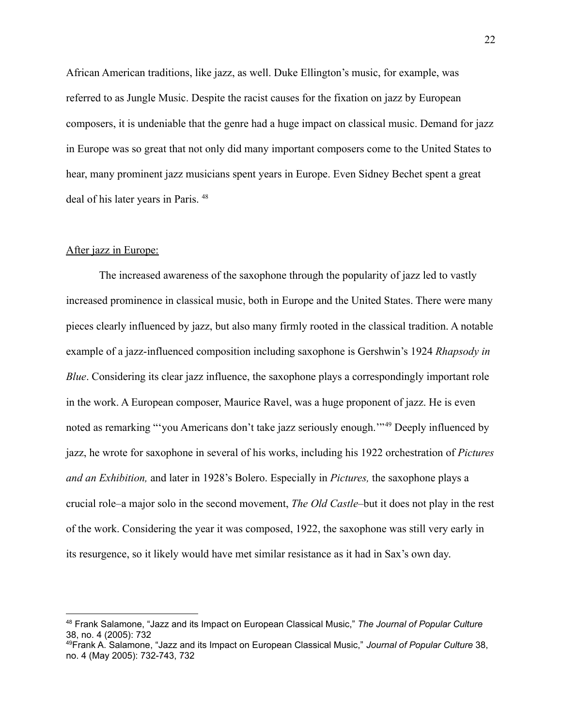African American traditions, like jazz, as well. Duke Ellington's music, for example, was referred to as Jungle Music. Despite the racist causes for the fixation on jazz by European composers, it is undeniable that the genre had a huge impact on classical music. Demand for jazz in Europe was so great that not only did many important composers come to the United States to hear, many prominent jazz musicians spent years in Europe. Even Sidney Bechet spent a great deal of his later years in Paris. <sup>48</sup>

# After jazz in Europe:

The increased awareness of the saxophone through the popularity of jazz led to vastly increased prominence in classical music, both in Europe and the United States. There were many pieces clearly influenced by jazz, but also many firmly rooted in the classical tradition. A notable example of a jazz-influenced composition including saxophone is Gershwin's 1924 *Rhapsody in Blue*. Considering its clear jazz influence, the saxophone plays a correspondingly important role in the work. A European composer, Maurice Ravel, was a huge proponent of jazz. He is even noted as remarking "'you Americans don't take jazz seriously enough."<sup>49</sup> Deeply influenced by jazz, he wrote for saxophone in several of his works, including his 1922 orchestration of *Pictures and an Exhibition,* and later in 1928's Bolero. Especially in *Pictures,* the saxophone plays a crucial role–a major solo in the second movement, *The Old Castle*–but it does not play in the rest of the work. Considering the year it was composed, 1922, the saxophone was still very early in its resurgence, so it likely would have met similar resistance as it had in Sax's own day.

<sup>48</sup> Frank Salamone, "Jazz and its Impact on European Classical Music," *The Journal of Popular Culture* 38, no. 4 (2005): 732

<sup>49</sup>Frank A. Salamone, "Jazz and its Impact on European Classical Music," *Journal of Popular Culture* 38, no. 4 (May 2005): 732-743, 732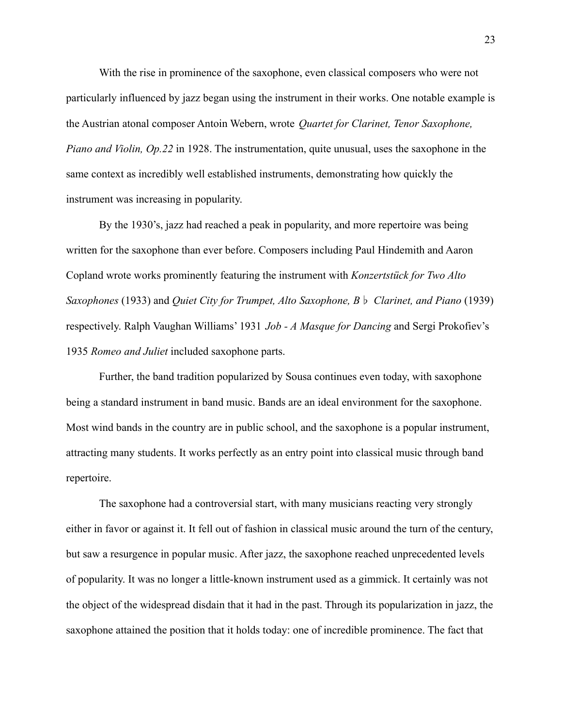With the rise in prominence of the saxophone, even classical composers who were not particularly influenced by jazz began using the instrument in their works. One notable example is the Austrian atonal composer Antoin Webern, wrote *Quartet for Clarinet, Tenor Saxophone, Piano and Violin, Op.22* in 1928. The instrumentation, quite unusual, uses the saxophone in the same context as incredibly well established instruments, demonstrating how quickly the instrument was increasing in popularity.

By the 1930's, jazz had reached a peak in popularity, and more repertoire was being written for the saxophone than ever before. Composers including Paul Hindemith and Aaron Copland wrote works prominently featuring the instrument with *Konzertstück for Two Alto Saxophones* (1933) and *Quiet City for Trumpet, Alto Saxophone, B*♭ *Clarinet, and Piano* (1939) respectively. Ralph Vaughan Williams' 1931 *Job - A Masque for Dancing* and Sergi Prokofiev's 1935 *Romeo and Juliet* included saxophone parts.

Further, the band tradition popularized by Sousa continues even today, with saxophone being a standard instrument in band music. Bands are an ideal environment for the saxophone. Most wind bands in the country are in public school, and the saxophone is a popular instrument, attracting many students. It works perfectly as an entry point into classical music through band repertoire.

The saxophone had a controversial start, with many musicians reacting very strongly either in favor or against it. It fell out of fashion in classical music around the turn of the century, but saw a resurgence in popular music. After jazz, the saxophone reached unprecedented levels of popularity. It was no longer a little-known instrument used as a gimmick. It certainly was not the object of the widespread disdain that it had in the past. Through its popularization in jazz, the saxophone attained the position that it holds today: one of incredible prominence. The fact that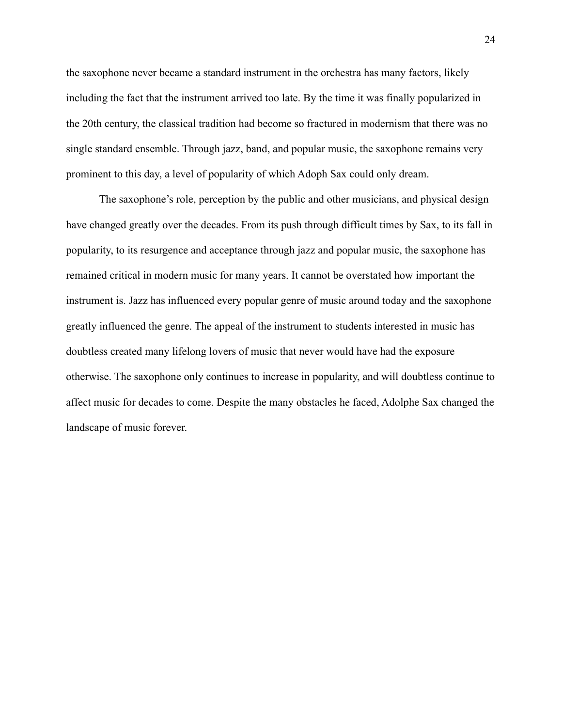the saxophone never became a standard instrument in the orchestra has many factors, likely including the fact that the instrument arrived too late. By the time it was finally popularized in the 20th century, the classical tradition had become so fractured in modernism that there was no single standard ensemble. Through jazz, band, and popular music, the saxophone remains very prominent to this day, a level of popularity of which Adoph Sax could only dream.

The saxophone's role, perception by the public and other musicians, and physical design have changed greatly over the decades. From its push through difficult times by Sax, to its fall in popularity, to its resurgence and acceptance through jazz and popular music, the saxophone has remained critical in modern music for many years. It cannot be overstated how important the instrument is. Jazz has influenced every popular genre of music around today and the saxophone greatly influenced the genre. The appeal of the instrument to students interested in music has doubtless created many lifelong lovers of music that never would have had the exposure otherwise. The saxophone only continues to increase in popularity, and will doubtless continue to affect music for decades to come. Despite the many obstacles he faced, Adolphe Sax changed the landscape of music forever.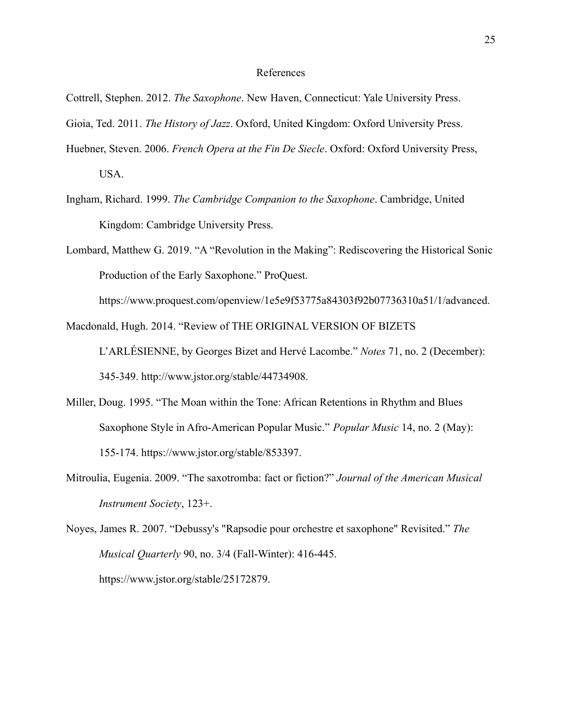# References

- Cottrell, Stephen. 2012. *The Saxophone*. New Haven, Connecticut: Yale University Press.
- Gioia, Ted. 2011. *The History of Jazz*. Oxford, United Kingdom: Oxford University Press.
- Huebner, Steven. 2006. *French Opera at the Fin De Siecle*. Oxford: Oxford University Press, USA.
- Ingham, Richard. 1999. *The Cambridge Companion to the Saxophone*. Cambridge, United Kingdom: Cambridge University Press.
- Lombard, Matthew G. 2019. "A "Revolution in the Making": Rediscovering the Historical Sonic Production of the Early Saxophone." ProQuest.

https://www.proquest.com/openview/1e5e9f53775a84303f92b07736310a51/1/advanced.

Macdonald, Hugh. 2014. "Review of THE ORIGINAL VERSION OF BIZETS

L'ARLÉSIENNE, by Georges Bizet and Hervé Lacombe." *Notes* 71, no. 2 (December): 345-349. http://www.jstor.org/stable/44734908.

- Miller, Doug. 1995. "The Moan within the Tone: African Retentions in Rhythm and Blues Saxophone Style in Afro-American Popular Music." *Popular Music* 14, no. 2 (May): 155-174. https://www.jstor.org/stable/853397.
- Mitroulia, Eugenia. 2009. "The saxotromba: fact or fiction?" *Journal of the American Musical Instrument Society*, 123+.
- Noyes, James R. 2007. "Debussy's "Rapsodie pour orchestre et saxophone" Revisited." *The Musical Quarterly* 90, no. 3/4 (Fall-Winter): 416-445. https://www.jstor.org/stable/25172879.